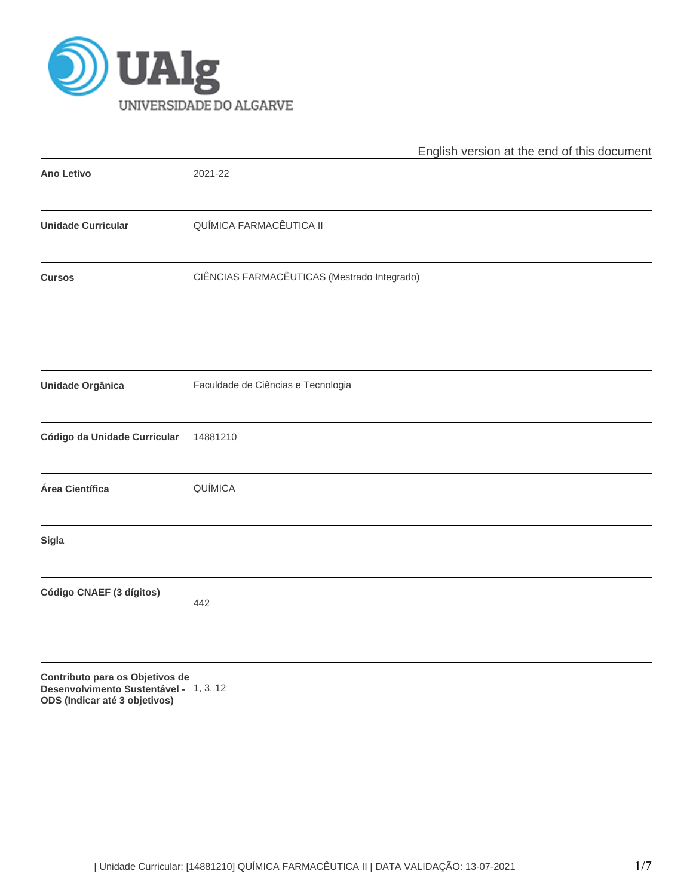

|                                 | English version at the end of this document |
|---------------------------------|---------------------------------------------|
| Ano Letivo                      | 2021-22                                     |
| <b>Unidade Curricular</b>       | QUÍMICA FARMACÊUTICA II                     |
| <b>Cursos</b>                   | CIÊNCIAS FARMACÊUTICAS (Mestrado Integrado) |
|                                 |                                             |
| Unidade Orgânica                | Faculdade de Ciências e Tecnologia          |
| Código da Unidade Curricular    | 14881210                                    |
| Área Científica                 | QUÍMICA                                     |
| Sigla                           |                                             |
| Código CNAEF (3 dígitos)        | 442                                         |
| Contributo para os Objetivos de |                                             |

**Desenvolvimento Sustentável -** 1, 3, 12**ODS (Indicar até 3 objetivos)**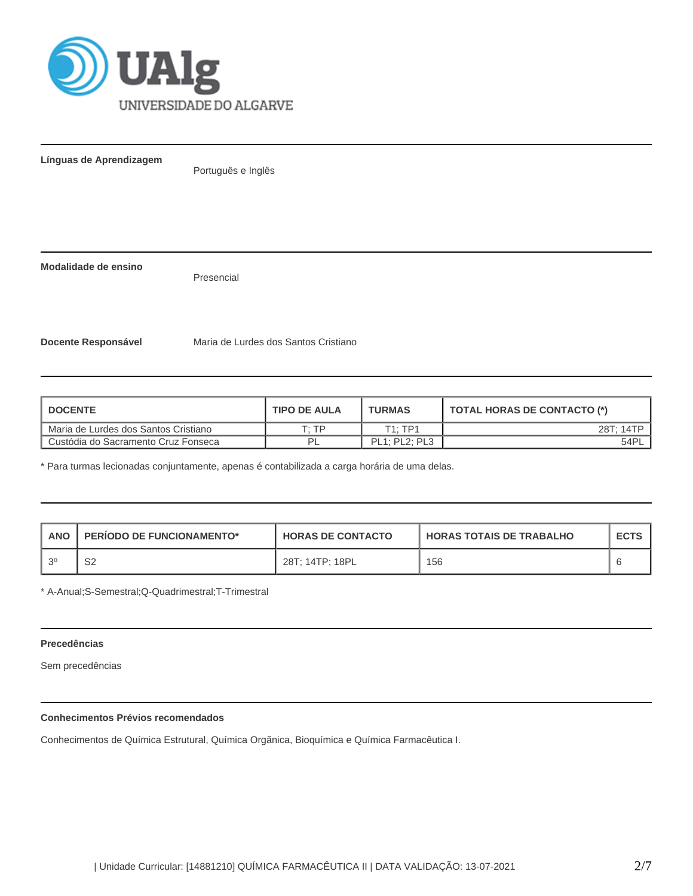

**Línguas de Aprendizagem**

Português e Inglês

**Modalidade de ensino**

Presencial

**Docente Responsável** Maria de Lurdes dos Santos Cristiano

| <b>I DOCENTE</b>                     | <b>TIPO DE AULA</b> | <b>TURMAS</b> | TOTAL HORAS DE CONTACTO (*) |
|--------------------------------------|---------------------|---------------|-----------------------------|
| Maria de Lurdes dos Santos Cristiano | ח די                | T1:TP1        | 28T: 14TP                   |
| Custódia do Sacramento Cruz Fonseca  | ום                  | PL1; PL2; PL3 | 54PL                        |

\* Para turmas lecionadas conjuntamente, apenas é contabilizada a carga horária de uma delas.

| ANO       | <b>PERIODO DE FUNCIONAMENTO*</b> | <b>HORAS DE CONTACTO</b> | <b>HORAS TOTAIS DE TRABALHO</b> | <b>ECTS</b> |
|-----------|----------------------------------|--------------------------|---------------------------------|-------------|
| $\sim$ 20 | ຊດ<br>ےت                         | 28T: 14TP: 18PL          | 156                             |             |

\* A-Anual;S-Semestral;Q-Quadrimestral;T-Trimestral

## **Precedências**

Sem precedências

# **Conhecimentos Prévios recomendados**

Conhecimentos de Química Estrutural, Química Orgãnica, Bioquímica e Química Farmacêutica I.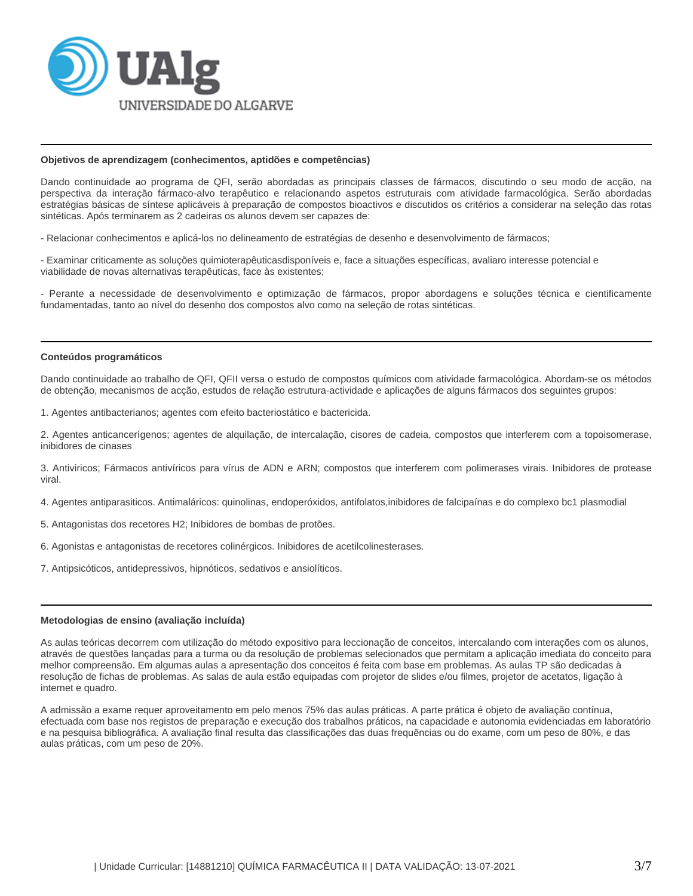

#### **Objetivos de aprendizagem (conhecimentos, aptidões e competências)**

Dando continuidade ao programa de QFI, serão abordadas as principais classes de fármacos, discutindo o seu modo de acção, na perspectiva da interação fármaco-alvo terapêutico e relacionando aspetos estruturais com atividade farmacológica. Serão abordadas estratégias básicas de síntese aplicáveis à preparação de compostos bioactivos e discutidos os critérios a considerar na seleção das rotas sintéticas. Após terminarem as 2 cadeiras os alunos devem ser capazes de:

- Relacionar conhecimentos e aplicá-los no delineamento de estratégias de desenho e desenvolvimento de fármacos;

- Examinar criticamente as soluções quimioterapêuticasdisponíveis e, face a situações específicas, avaliaro interesse potencial e viabilidade de novas alternativas terapêuticas, face às existentes;

- Perante a necessidade de desenvolvimento e optimização de fármacos, propor abordagens e soluções técnica e cientificamente fundamentadas, tanto ao nível do desenho dos compostos alvo como na seleção de rotas sintéticas.

#### **Conteúdos programáticos**

Dando continuidade ao trabalho de QFI, QFII versa o estudo de compostos químicos com atividade farmacológica. Abordam-se os métodos de obtenção, mecanismos de acção, estudos de relação estrutura-actividade e aplicações de alguns fármacos dos seguintes grupos:

1. Agentes antibacterianos; agentes com efeito bacteriostático e bactericida.

2. Agentes anticancerígenos; agentes de alquilação, de intercalação, cisores de cadeia, compostos que interferem com a topoisomerase, inibidores de cinases

3. Antiviricos; Fármacos antivíricos para vírus de ADN e ARN; compostos que interferem com polimerases virais. Inibidores de protease viral.

4. Agentes antiparasiticos. Antimaláricos: quinolinas, endoperóxidos, antifolatos,inibidores de falcipaínas e do complexo bc1 plasmodial

- 5. Antagonistas dos recetores H2; Inibidores de bombas de protões.
- 6. Agonistas e antagonistas de recetores colinérgicos. Inibidores de acetilcolinesterases.
- 7. Antipsicóticos, antidepressivos, hipnóticos, sedativos e ansiolíticos.

#### **Metodologias de ensino (avaliação incluída)**

As aulas teóricas decorrem com utilização do método expositivo para leccionação de conceitos, intercalando com interações com os alunos, através de questões lançadas para a turma ou da resolução de problemas selecionados que permitam a aplicação imediata do conceito para melhor compreensão. Em algumas aulas a apresentação dos conceitos é feita com base em problemas. As aulas TP são dedicadas à resolução de fichas de problemas. As salas de aula estão equipadas com projetor de slides e/ou filmes, projetor de acetatos, ligação à internet e quadro.

A admissão a exame requer aproveitamento em pelo menos 75% das aulas práticas. A parte prática é objeto de avaliação contínua, efectuada com base nos registos de preparação e execução dos trabalhos práticos, na capacidade e autonomia evidenciadas em laboratório e na pesquisa bibliográfica. A avaliação final resulta das classificações das duas frequências ou do exame, com um peso de 80%, e das aulas práticas, com um peso de 20%.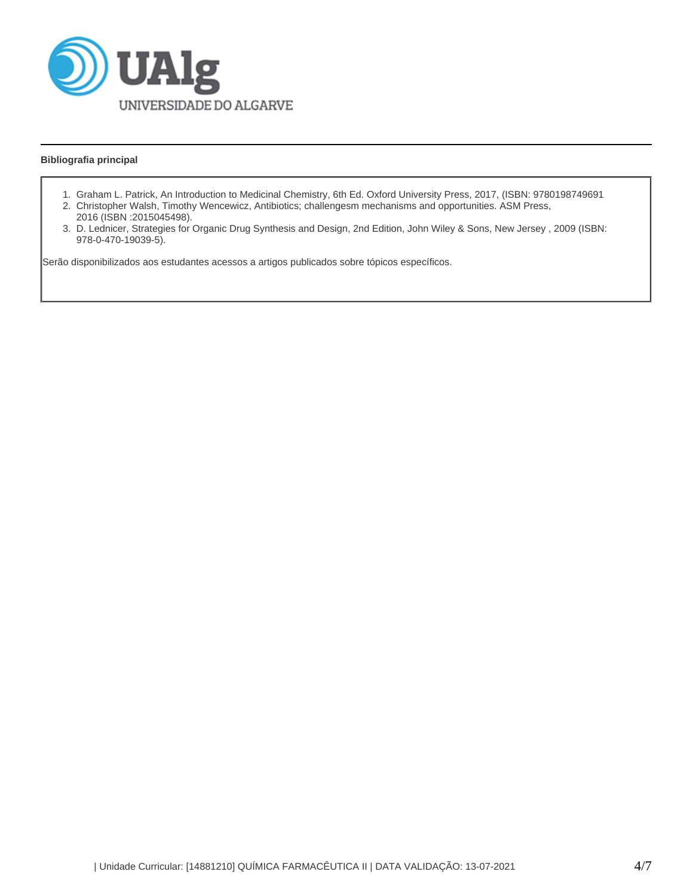

# **Bibliografia principal**

- 1. Graham L. Patrick, An Introduction to Medicinal Chemistry, 6th Ed. Oxford University Press, 2017, (ISBN: 9780198749691
- 2. Christopher Walsh, Timothy Wencewicz, Antibiotics; challengesm mechanisms and opportunities. ASM Press, 2016 (ISBN :2015045498).
- 3. D. Lednicer, Strategies for Organic Drug Synthesis and Design, 2nd Edition, John Wiley & Sons, New Jersey , 2009 (ISBN: 978-0-470-19039-5).

Serão disponibilizados aos estudantes acessos a artigos publicados sobre tópicos específicos.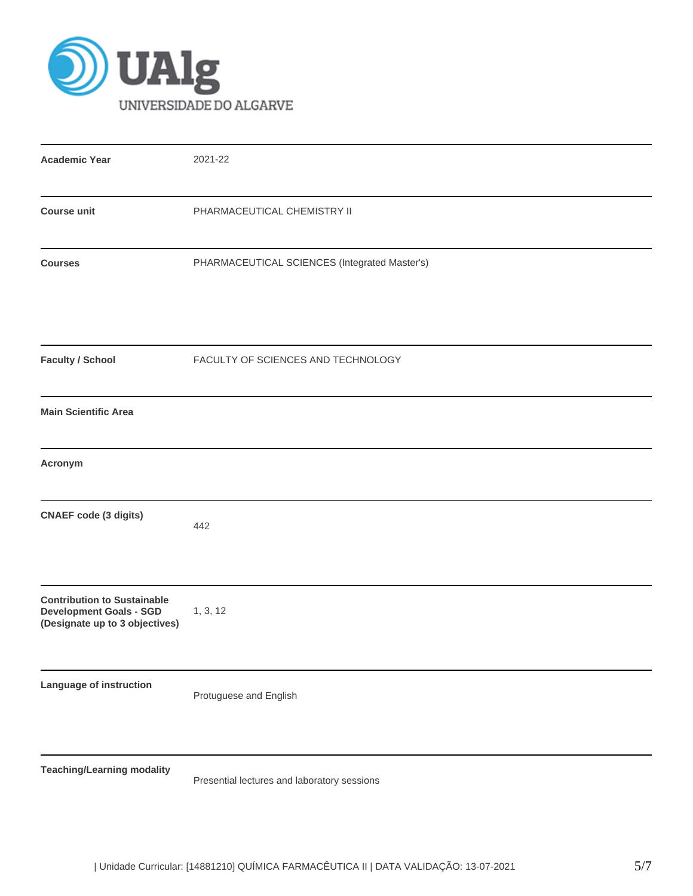

| <b>Academic Year</b>                                                                                   | 2021-22                                       |
|--------------------------------------------------------------------------------------------------------|-----------------------------------------------|
| <b>Course unit</b>                                                                                     | PHARMACEUTICAL CHEMISTRY II                   |
| <b>Courses</b>                                                                                         | PHARMACEUTICAL SCIENCES (Integrated Master's) |
| <b>Faculty / School</b>                                                                                | FACULTY OF SCIENCES AND TECHNOLOGY            |
| <b>Main Scientific Area</b>                                                                            |                                               |
| Acronym                                                                                                |                                               |
| <b>CNAEF code (3 digits)</b>                                                                           | 442                                           |
| <b>Contribution to Sustainable</b><br><b>Development Goals - SGD</b><br>(Designate up to 3 objectives) | 1, 3, 12                                      |
| Language of instruction                                                                                | Protuguese and English                        |
| <b>Teaching/Learning modality</b>                                                                      | Presential lectures and laboratory sessions   |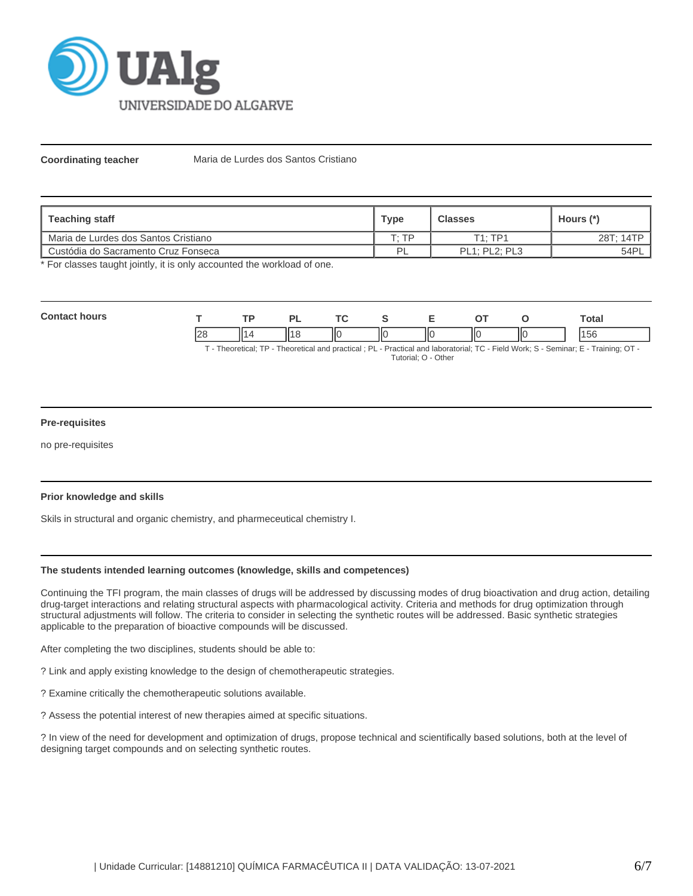

**Coordinating teacher** Maria de Lurdes dos Santos Cristiano

| <b>Teaching staff</b>                         | <b>Type</b> | <b>Classes</b>       | Hours (*) |
|-----------------------------------------------|-------------|----------------------|-----------|
| Maria de Lurdes dos Santos Cristiano          | סד ּד       | $T1 \cdot TP1$       | 28T; 14TP |
| <b>La Custódia do Sacramento Cruz Fonseca</b> | PL          | <b>PL1: PL2: PL3</b> | 54PL      |

\* For classes taught jointly, it is only accounted the workload of one.

| $C_{\alpha n}$<br>.<br>วurs |                                      |    | o |   |      | -  |    |     | ⊺otal         |
|-----------------------------|--------------------------------------|----|---|---|------|----|----|-----|---------------|
|                             | $\Omega$<br>$\overline{\phantom{a}}$ | ١ľ |   | Ш | -llc | ПC | НΟ | IIс | $ \sim$<br>эc |

T - Theoretical; TP - Theoretical and practical ; PL - Practical and laboratorial; TC - Field Work; S - Seminar; E - Training; OT - Tutorial; O - Other

### **Pre-requisites**

no pre-requisites

### **Prior knowledge and skills**

Skils in structural and organic chemistry, and pharmeceutical chemistry I.

### **The students intended learning outcomes (knowledge, skills and competences)**

Continuing the TFI program, the main classes of drugs will be addressed by discussing modes of drug bioactivation and drug action, detailing drug-target interactions and relating structural aspects with pharmacological activity. Criteria and methods for drug optimization through structural adjustments will follow. The criteria to consider in selecting the synthetic routes will be addressed. Basic synthetic strategies applicable to the preparation of bioactive compounds will be discussed.

After completing the two disciplines, students should be able to:

? Link and apply existing knowledge to the design of chemotherapeutic strategies.

? Examine critically the chemotherapeutic solutions available.

? Assess the potential interest of new therapies aimed at specific situations.

? In view of the need for development and optimization of drugs, propose technical and scientifically based solutions, both at the level of designing target compounds and on selecting synthetic routes.